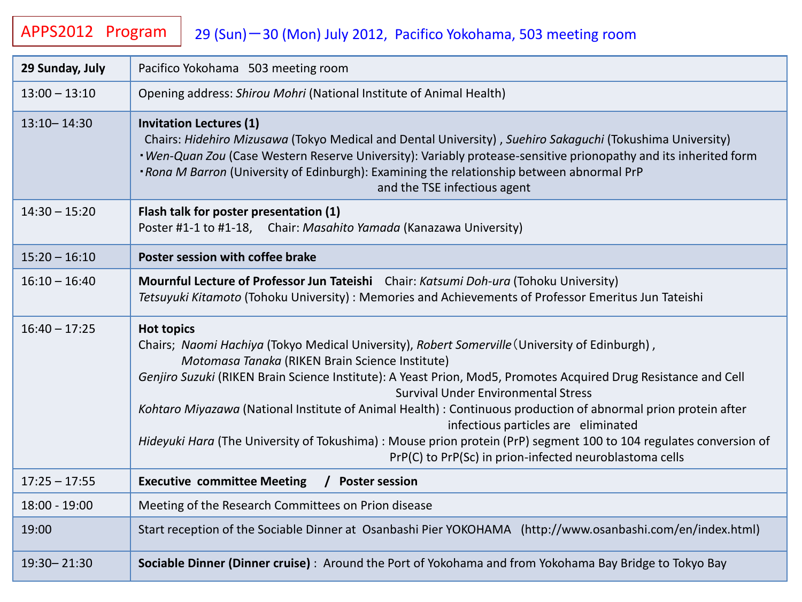## APPS2012 Program | 29 (Sun)-30 (Mon) July 2012, Pacifico Yokohama, 503 meeting room

| 29 Sunday, July | Pacifico Yokohama 503 meeting room                                                                                                                                                                                                                                                                                                                                                                                                                                                                                                                                                                                                                                                |
|-----------------|-----------------------------------------------------------------------------------------------------------------------------------------------------------------------------------------------------------------------------------------------------------------------------------------------------------------------------------------------------------------------------------------------------------------------------------------------------------------------------------------------------------------------------------------------------------------------------------------------------------------------------------------------------------------------------------|
| $13:00 - 13:10$ | Opening address: Shirou Mohri (National Institute of Animal Health)                                                                                                                                                                                                                                                                                                                                                                                                                                                                                                                                                                                                               |
| $13:10 - 14:30$ | <b>Invitation Lectures (1)</b><br>Chairs: Hidehiro Mizusawa (Tokyo Medical and Dental University), Suehiro Sakaguchi (Tokushima University)<br>. Wen-Quan Zou (Case Western Reserve University): Variably protease-sensitive prionopathy and its inherited form<br>. Rona M Barron (University of Edinburgh): Examining the relationship between abnormal PrP<br>and the TSE infectious agent                                                                                                                                                                                                                                                                                     |
| $14:30 - 15:20$ | Flash talk for poster presentation (1)<br>Poster #1-1 to #1-18, Chair: Masahito Yamada (Kanazawa University)                                                                                                                                                                                                                                                                                                                                                                                                                                                                                                                                                                      |
| $15:20 - 16:10$ | Poster session with coffee brake                                                                                                                                                                                                                                                                                                                                                                                                                                                                                                                                                                                                                                                  |
| $16:10 - 16:40$ | Mournful Lecture of Professor Jun Tateishi Chair: Katsumi Doh-ura (Tohoku University)<br>Tetsuyuki Kitamoto (Tohoku University): Memories and Achievements of Professor Emeritus Jun Tateishi                                                                                                                                                                                                                                                                                                                                                                                                                                                                                     |
| $16:40 - 17:25$ | <b>Hot topics</b><br>Chairs; Naomi Hachiya (Tokyo Medical University), Robert Somerville (University of Edinburgh),<br>Motomasa Tanaka (RIKEN Brain Science Institute)<br>Genjiro Suzuki (RIKEN Brain Science Institute): A Yeast Prion, Mod5, Promotes Acquired Drug Resistance and Cell<br><b>Survival Under Environmental Stress</b><br>Kohtaro Miyazawa (National Institute of Animal Health) : Continuous production of abnormal prion protein after<br>infectious particles are eliminated<br>Hideyuki Hara (The University of Tokushima) : Mouse prion protein (PrP) segment 100 to 104 regulates conversion of<br>PrP(C) to PrP(Sc) in prion-infected neuroblastoma cells |
| $17:25 - 17:55$ | <b>Executive committee Meeting</b><br>/ Poster session                                                                                                                                                                                                                                                                                                                                                                                                                                                                                                                                                                                                                            |
| 18:00 - 19:00   | Meeting of the Research Committees on Prion disease                                                                                                                                                                                                                                                                                                                                                                                                                                                                                                                                                                                                                               |
| 19:00           | Start reception of the Sociable Dinner at Osanbashi Pier YOKOHAMA (http://www.osanbashi.com/en/index.html)                                                                                                                                                                                                                                                                                                                                                                                                                                                                                                                                                                        |
| 19:30 - 21:30   | Sociable Dinner (Dinner cruise): Around the Port of Yokohama and from Yokohama Bay Bridge to Tokyo Bay                                                                                                                                                                                                                                                                                                                                                                                                                                                                                                                                                                            |